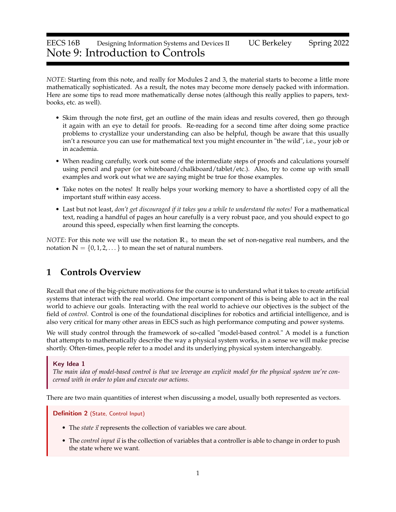## EECS 16B Designing Information Systems and Devices II UC Berkeley Spring 2022 Note 9: Introduction to Controls

*NOTE*: Starting from this note, and really for Modules 2 and 3, the material starts to become a little more mathematically sophisticated. As a result, the notes may become more densely packed with information. Here are some tips to read more mathematically dense notes (although this really applies to papers, textbooks, etc. as well).

- Skim through the note first, get an outline of the main ideas and results covered, then go through it again with an eye to detail for proofs. Re-reading for a second time after doing some practice problems to crystallize your understanding can also be helpful, though be aware that this usually isn't a resource you can use for mathematical text you might encounter in "the wild", i.e., your job or in academia.
- When reading carefully, work out some of the intermediate steps of proofs and calculations yourself using pencil and paper (or whiteboard/chalkboard/tablet/etc.). Also, try to come up with small examples and work out what we are saying might be true for those examples.
- Take notes on the notes! It really helps your working memory to have a shortlisted copy of all the important stuff within easy access.
- Last but not least, *don't get discouraged if it takes you a while to understand the notes!* For a mathematical text, reading a handful of pages an hour carefully is a very robust pace, and you should expect to go around this speed, especially when first learning the concepts.

*NOTE*: For this note we will use the notation **R**+ to mean the set of non-negative real numbers, and the notation  $\mathbb{N} = \{0, 1, 2, \dots\}$  to mean the set of natural numbers.

## **1 Controls Overview**

Recall that one of the big-picture motivations for the course is to understand what it takes to create artificial systems that interact with the real world. One important component of this is being able to act in the real world to achieve our goals. Interacting with the real world to achieve our objectives is the subject of the field of *control*. Control is one of the foundational disciplines for robotics and artificial intelligence, and is also very critical for many other areas in EECS such as high performance computing and power systems.

We will study control through the framework of so-called "model-based control." A model is a function that attempts to mathematically describe the way a physical system works, in a sense we will make precise shortly. Often-times, people refer to a model and its underlying physical system interchangeably.

#### Key Idea 1

*The main idea of model-based control is that we leverage an explicit model for the physical system we're concerned with in order to plan and execute our actions.*

There are two main quantities of interest when discussing a model, usually both represented as vectors.

#### Definition 2 (State, Control Input)

- The *state*  $\vec{x}$  represents the collection of variables we care about.
- The *control input*  $\vec{u}$  is the collection of variables that a controller is able to change in order to push the state where we want.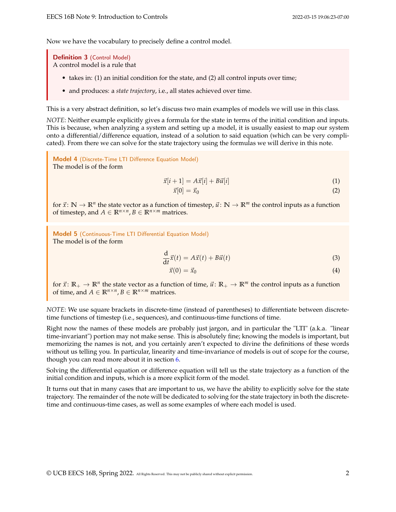Now we have the vocabulary to precisely define a control model.

Definition 3 (Control Model) A control model is a rule that

- takes in: (1) an initial condition for the state, and (2) all control inputs over time;
- and produces: a *state trajectory*, i.e., all states achieved over time.

This is a very abstract definition, so let's discuss two main examples of models we will use in this class.

*NOTE*: Neither example explicitly gives a formula for the state in terms of the initial condition and inputs. This is because, when analyzing a system and setting up a model, it is usually easiest to map our system onto a differential/difference equation, instead of a solution to said equation (which can be very complicated). From there we can solve for the state trajectory using the formulas we will derive in this note.

<span id="page-1-0"></span>Model 4 (Discrete-Time LTI Difference Equation Model) The model is of the form

$$
\vec{x}[i+1] = A\vec{x}[i] + B\vec{u}[i] \tag{1}
$$

<span id="page-1-2"></span><span id="page-1-1"></span>
$$
\vec{x}[0] = \vec{x}_0 \tag{2}
$$

for  $\vec{x}$ :  $\mathbb{N} \to \mathbb{R}^n$  the state vector as a function of timestep,  $\vec{u}$ :  $\mathbb{N} \to \mathbb{R}^m$  the control inputs as a function of timestep, and  $A \in \mathbb{R}^{n \times n}$ ,  $B \in \mathbb{R}^{n \times m}$  matrices.

<span id="page-1-3"></span>Model 5 (Continuous-Time LTI Differential Equation Model) The model is of the form

$$
\frac{\mathrm{d}}{\mathrm{d}t}\vec{x}(t) = A\vec{x}(t) + B\vec{u}(t)
$$
\n(3)

$$
\vec{x}(0) = \vec{x}_0 \tag{4}
$$

for  $\vec{x}$ :  $\mathbb{R}_+ \to \mathbb{R}^n$  the state vector as a function of time,  $\vec{u}$ :  $\mathbb{R}_+ \to \mathbb{R}^m$  the control inputs as a function of time, and  $A \in \mathbb{R}^{n \times n}$ ,  $B \in \mathbb{R}^{n \times m}$  matrices.

*NOTE*: We use square brackets in discrete-time (instead of parentheses) to differentiate between discretetime functions of timestep (i.e., sequences), and continuous-time functions of time.

Right now the names of these models are probably just jargon, and in particular the "LTI" (a.k.a. "linear time-invariant") portion may not make sense. This is absolutely fine; knowing the models is important, but memorizing the names is not, and you certainly aren't expected to divine the definitions of these words without us telling you. In particular, linearity and time-invariance of models is out of scope for the course, though you can read more about it in section [6.](#page-10-0)

Solving the differential equation or difference equation will tell us the state trajectory as a function of the initial condition and inputs, which is a more explicit form of the model.

It turns out that in many cases that are important to us, we have the ability to explicitly solve for the state trajectory. The remainder of the note will be dedicated to solving for the state trajectory in both the discretetime and continuous-time cases, as well as some examples of where each model is used.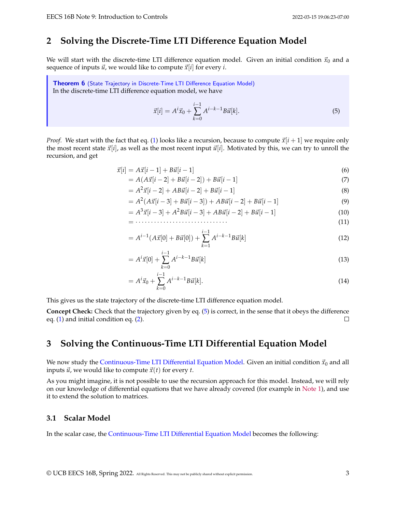## <span id="page-2-2"></span>**2 Solving the Discrete-Time LTI Difference Equation Model**

We will start with the discrete-time LTI difference equation model. Given an initial condition  $\vec{x}_0$  and a sequence of inputs  $\vec{u}$ , we would like to compute  $\vec{x}[i]$  for every *i*.

Theorem 6 (State Trajectory in [Discrete-Time LTI Difference Equation Model\)](#page-1-0) In the discrete-time LTI difference equation model, we have

<span id="page-2-0"></span>
$$
\vec{x}[i] = A^i \vec{x}_0 + \sum_{k=0}^{i-1} A^{i-k-1} B \vec{u}[k].
$$
\n(5)

*Proof.* We start with the fact that eq. [\(1\)](#page-1-1) looks like a recursion, because to compute  $\vec{x}[i+1]$  we require only the most recent state  $\vec{x}[i]$ , as well as the most recent input  $\vec{u}[i]$ . Motivated by this, we can try to unroll the recursion, and get

$$
\vec{x}[i] = A\vec{x}[i-1] + B\vec{u}[i-1] \tag{6}
$$

$$
= A(A\vec{x}[i-2] + B\vec{u}[i-2]) + B\vec{u}[i-1]
$$
\n(7)

$$
= A2 \vec{x} [i-2] + AB \vec{u} [i-2] + B \vec{u} [i-1]
$$
\n(8)

$$
= A2(A\vec{x}[i-3] + B\vec{u}[i-3]) + AB\vec{u}[i-2] + B\vec{u}[i-1]
$$
\n(9)

$$
= A3 \bar{x}[i-3] + A2 B \bar{u}[i-3] + AB \bar{u}[i-2] + B \bar{u}[i-1]
$$
\n(10)

= · · · · · · · · · · · · · · · · · · · · · · · · · · · · · · (11)

$$
= A^{i-1}(A\vec{x}[0] + B\vec{u}[0]) + \sum_{k=1}^{i-1} A^{i-k-1} B\vec{u}[k]
$$
\n(12)

$$
= Ai \vec{x}[0] + \sum_{k=0}^{i-1} A^{i-k-1} B \vec{u}[k]
$$
\n(13)

$$
= A^{i} \vec{x}_{0} + \sum_{k=0}^{i-1} A^{i-k-1} B \vec{u}[k]. \tag{14}
$$

This gives us the state trajectory of the discrete-time LTI difference equation model.

**Concept Check:** Check that the trajectory given by eq. [\(5\)](#page-2-0) is correct, in the sense that it obeys the difference eq. [\(1\)](#page-1-1) and initial condition eq. [\(2\)](#page-1-2).  $\Box$ 

### <span id="page-2-3"></span>**3 Solving the Continuous-Time LTI Differential Equation Model**

We now study the [Continuous-Time LTI Differential Equation Model.](#page-1-3) Given an initial condition  $\vec{x}_0$  and all inputs  $\vec{u}$ , we would like to compute  $\vec{x}(t)$  for every *t*.

As you might imagine, it is not possible to use the recursion approach for this model. Instead, we will rely on our knowledge of differential equations that we have already covered (for example in [Note 1\)](https://www.eecs16b.org/notes/sp22/note01.pdf), and use it to extend the solution to matrices.

#### <span id="page-2-1"></span>**3.1 Scalar Model**

In the scalar case, the [Continuous-Time LTI Differential Equation Model](#page-1-3) becomes the following: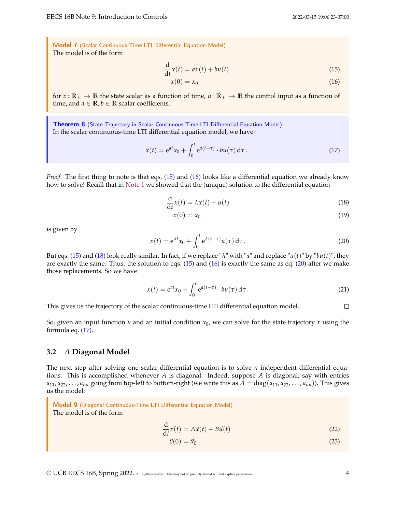<span id="page-3-0"></span>Model 7 (Scalar Continuous-Time LTI Differential Equation Model) The model is of the form

$$
\frac{\mathrm{d}}{\mathrm{d}t}x(t) = ax(t) + bu(t) \tag{15}
$$

<span id="page-3-2"></span><span id="page-3-1"></span>
$$
x(0) = x_0 \tag{16}
$$

for  $x: \mathbb{R}_+ \to \mathbb{R}$  the state scalar as a function of time,  $u: \mathbb{R}_+ \to \mathbb{R}$  the control input as a function of time, and  $a \in \mathbb{R}$ ,  $b \in \mathbb{R}$  scalar coefficients.

Theorem 8 (State Trajectory in [Scalar Continuous-Time LTI Differential Equation Model\)](#page-3-0) In the scalar continuous-time LTI differential equation model, we have

<span id="page-3-5"></span>
$$
x(t) = e^{at}x_0 + \int_0^t e^{a(t-\tau)} \cdot bu(\tau) d\tau.
$$
 (17)

*Proof.* The first thing to note is that eqs. [\(15\)](#page-3-1) and [\(16\)](#page-3-2) looks like a differential equation we already know how to solve! Recall that in [Note 1](https://www.eecs16b.org/notes/sp22/note01.pdf) we showed that the (unique) solution to the differential equation

$$
\frac{\mathrm{d}}{\mathrm{d}t}x(t) = \lambda x(t) + u(t) \tag{18}
$$

<span id="page-3-3"></span>
$$
x(0) = x_0 \tag{19}
$$

is given by

<span id="page-3-4"></span>
$$
x(t) = e^{\lambda t} x_0 + \int_0^t e^{\lambda(t-\tau)} u(\tau) d\tau.
$$
 (20)

But eqs. [\(15\)](#page-3-1) and [\(18\)](#page-3-3) look really similar. In fact, if we replace "*λ*" with "*a*" and replace "*u*(*t*)" by "*bu*(*t*)", they are exactly the same. Thus, the solution to eqs.  $(15)$  and  $(16)$  is exactly the same as eq.  $(20)$  after we make those replacements. So we have

$$
x(t) = e^{at}x_0 + \int_0^t e^{a(t-\tau)} \cdot bu(\tau) d\tau.
$$
 (21)

This gives us the trajectory of the scalar continuous-time LTI differential equation model.  $\Box$ 

So, given an input function *u* and an initial condition *x*0, we can solve for the state trajectory *x* using the formula eq. [\(17\)](#page-3-5).

#### <span id="page-3-9"></span>**3.2** *A* **Diagonal Model**

The next step after solving one scalar differential equation is to solve *n* independent differential equations. This is accomplished whenever *A* is diagonal. Indeed, suppose *A* is diagonal, say with entries  $a_{11}, a_{22}, \ldots, a_{nn}$  going from top-left to bottom-right (we write this as  $A = diag(a_{11}, a_{22}, \ldots, a_{nn})$ ). This gives us the model:

<span id="page-3-6"></span>Model 9 (Diagonal Continuous-Time LTI Differential Equation Model) The model is of the form

$$
\frac{\mathrm{d}}{\mathrm{d}t}\vec{x}(t) = A\vec{x}(t) + B\vec{u}(t)
$$
\n(22)

<span id="page-3-8"></span><span id="page-3-7"></span>
$$
\vec{x}(0) = \vec{x}_0 \tag{23}
$$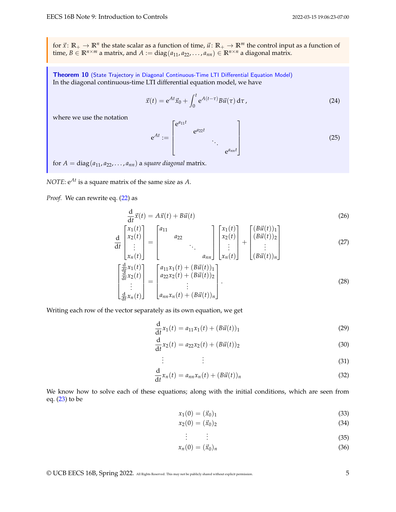for  $\vec{x}$ :  $\mathbb{R}_+ \to \mathbb{R}^n$  the state scalar as a function of time,  $\vec{u}$ :  $\mathbb{R}_+ \to \mathbb{R}^m$  the control input as a function of time,  $B \in \mathbb{R}^{n \times m}$  a matrix, and  $A := diag(a_{11}, a_{22}, \ldots, a_{nn}) \in \mathbb{R}^{n \times n}$  a diagonal matrix.

Theorem 10 (State Trajectory in [Diagonal Continuous-Time LTI Differential Equation Model\)](#page-3-6) In the diagonal continuous-time LTI differential equation model, we have

<span id="page-4-0"></span>
$$
\vec{x}(t) = e^{At}\vec{x}_0 + \int_0^t e^{A(t-\tau)}B\vec{u}(\tau) d\tau,
$$
\n(24)

where we use the notation

<span id="page-4-1"></span>
$$
e^{At} := \begin{bmatrix} e^{a_{11}t} & & & \\ & e^{a_{22}t} & & \\ & & \ddots & \\ & & & e^{a_{nn}t} \end{bmatrix} \tag{25}
$$

for  $A = diag(a_{11}, a_{22}, \ldots, a_{nn})$  a *square diagonal* matrix.

*NOTE*: e*At* is a square matrix of the same size as *A*.

 $\lceil$  $\overline{1}$  $\overline{1}$  $\overline{1}$  $\overline{1}$ 

*Proof.* We can rewrite eq. [\(22\)](#page-3-7) as

$$
\frac{d}{dt}\vec{x}(t) = A\vec{x}(t) + B\vec{u}(t)
$$
\n(26)

$$
\frac{\mathrm{d}}{\mathrm{d}t} \begin{bmatrix} x_1(t) \\ x_2(t) \\ \vdots \\ x_n(t) \end{bmatrix} = \begin{bmatrix} a_{11} & & & \\ & a_{22} & & \\ & & \ddots & \\ & & & a_{nn} \end{bmatrix} \begin{bmatrix} x_1(t) \\ x_2(t) \\ \vdots \\ x_n(t) \end{bmatrix} + \begin{bmatrix} (B\vec{u}(t))_1 \\ (B\vec{u}(t))_2 \\ \vdots \\ (B\vec{u}(t))_n \end{bmatrix} \tag{27}
$$

$$
\frac{\frac{d}{dt}x_1(t)}{\frac{d}{dt}x_2(t)} = \begin{bmatrix} a_{11}x_1(t) + (B\vec{u}(t))_1 \\ a_{22}x_2(t) + (B\vec{u}(t))_2 \\ \vdots \\ a_{nn}x_n(t) + (B\vec{u}(t))_n \end{bmatrix} .
$$
\n(28)

Writing each row of the vector separately as its own equation, we get

$$
\frac{d}{dt}x_1(t) = a_{11}x_1(t) + (B\vec{u}(t))_1
$$
\n(29)

$$
\frac{d}{dt}x_2(t) = a_{22}x_2(t) + (B\vec{u}(t))_2
$$
\n(30)

$$
\vdots \qquad \qquad \vdots \qquad \qquad (31)
$$

$$
\frac{\mathrm{d}}{\mathrm{d}t}x_n(t) = a_{nn}x_n(t) + (B\vec{u}(t))_n\tag{32}
$$

We know how to solve each of these equations; along with the initial conditions, which are seen from eq. [\(23\)](#page-3-8) to be

$$
x_1(0) = (\vec{x}_0)_1 \tag{33}
$$

$$
x_2(0) = (\vec{x}_0)_2 \tag{34}
$$

$$
\vdots \qquad \vdots \qquad \qquad (35)
$$

$$
x_n(0) = (\vec{x}_0)_n \tag{36}
$$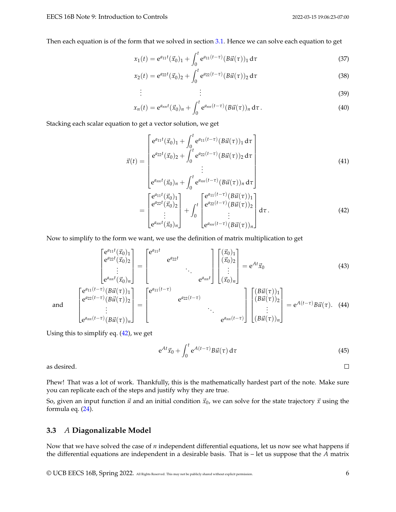Then each equation is of the form that we solved in section [3.1.](#page-2-1) Hence we can solve each equation to get

$$
x_1(t) = e^{a_{11}t}(\vec{x}_0)_1 + \int_0^t e^{a_{11}(t-\tau)} (B\vec{u}(\tau))_1 d\tau
$$
\n(37)

$$
x_2(t) = e^{a_{22}t}(\vec{x}_0)_2 + \int_0^t e^{a_{22}(t-\tau)} (B\vec{u}(\tau))_2 d\tau
$$
\n(38)

$$
\vdots \tag{39}
$$

$$
x_n(t) = e^{a_{nn}t} (\vec{x}_0)_n + \int_0^t e^{a_{nn}(t-\tau)} (B \vec{u}(\tau))_n d\tau.
$$
 (40)

Stacking each scalar equation to get a vector solution, we get

. . .

$$
\vec{x}(t) = \begin{bmatrix}\ne^{a_{11}t}(\vec{x}_0)_{1} + \int_{0}^{t} e^{a_{11}(t-\tau)}(B\vec{u}(\tau))_{1} d\tau \\
e^{a_{22}t}(\vec{x}_0)_{2} + \int_{0}^{t} e^{a_{22}(t-\tau)}(B\vec{u}(\tau))_{2} d\tau \\
\vdots \\
e^{a_{nn}t}(\vec{x}_0)_{n} + \int_{0}^{t} e^{a_{nn}(t-\tau)}(B\vec{u}(\tau))_{n} d\tau\n\end{bmatrix}
$$
\n
$$
= \begin{bmatrix}\ne^{a_{11}t}(\vec{x}_0)_{1} \\
e^{a_{22}t}(\vec{x}_0)_{2} \\
\vdots \\
e^{a_{nn}t}(\vec{x}_0)_{n}\end{bmatrix} + \int_{0}^{t} \begin{bmatrix}\ne^{a_{11}(t-\tau)}(B\vec{u}(\tau))_{1} \\
e^{a_{22}(t-\tau)}(B\vec{u}(\tau))_{2} \\
\vdots \\
e^{a_{nn}t}(\tau)_{n}\end{bmatrix} d\tau.
$$
\n(42)

Now to simplify to the form we want, we use the definition of matrix multiplication to get

$$
\begin{bmatrix} e^{a_{11}t}(\vec{x}_{0})_{1} \\ e^{a_{22}t}(\vec{x}_{0})_{2} \\ \vdots \\ e^{a_{nn}t}(\vec{x}_{0})_{n} \end{bmatrix} = \begin{bmatrix} e^{a_{11}t} & e^{a_{22}t} \\ e^{a_{22}t} & \cdots \\ e^{a_{nn}t} \end{bmatrix} \begin{bmatrix} (\vec{x}_{0})_{1} \\ (\vec{x}_{0})_{2} \\ \vdots \\ (\vec{x}_{0})_{n} \end{bmatrix} = e^{At}\vec{x}_{0}
$$
(43)  

$$
\begin{bmatrix} e^{a_{11}(t-\tau)}(B\vec{u}(\tau))_{1} \\ e^{a_{22}(t-\tau)}(B\vec{u}(\tau))_{2} \\ \vdots \\ e^{a_{nn}(t-\tau)}(B\vec{u}(\tau))_{n} \end{bmatrix} = \begin{bmatrix} e^{a_{11}(t-\tau)} & e^{a_{22}(t-\tau)} \\ \vdots \\ e^{a_{nn}(t-\tau)} \end{bmatrix} \begin{bmatrix} (B\vec{u}(\tau))_{1} \\ (B\vec{u}(\tau))_{2} \\ \vdots \\ (B\vec{u}(\tau))_{n} \end{bmatrix} = e^{A(t-\tau)}B\vec{u}(\tau). \tag{44}
$$

and

Using this to simplify eq. [\(42\)](#page-5-0), we get

$$
e^{At}\vec{x}_0 + \int_0^t e^{A(t-\tau)}B\vec{u}(\tau) d\tau
$$
\n(45)

as desired.

Phew! That was a lot of work. Thankfully, this is the mathematically hardest part of the note. Make sure you can replicate each of the steps and justify why they are true.

So, given an input function  $\vec{u}$  and an initial condition  $\vec{x}_0$ , we can solve for the state trajectory  $\vec{x}$  using the formula eq. [\(24\)](#page-4-0).

#### **3.3** *A* **Diagonalizable Model**

Now that we have solved the case of *n* independent differential equations, let us now see what happens if the differential equations are independent in a desirable basis. That is – let us suppose that the *A* matrix

© UCB EECS 16B, Spring 2022. All Rights Reserved. This may not be publicly shared without explicit permission. 6

<span id="page-5-0"></span> $\Box$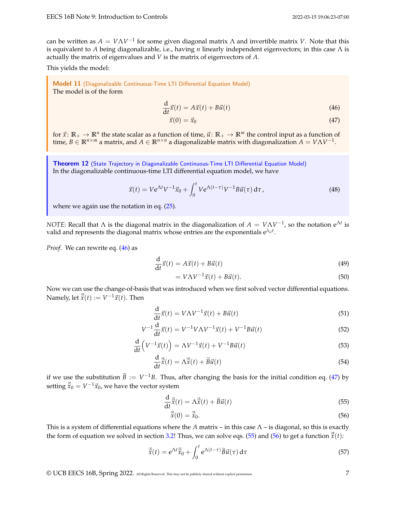<span id="page-6-2"></span><span id="page-6-1"></span>

can be written as  $A = V\Lambda V^{-1}$  for some given diagonal matrix  $\Lambda$  and invertible matrix *V*. Note that this is equivalent to *A* being diagonalizable, i.e., having *n* linearly independent eigenvectors; in this case Λ is actually the matrix of eigenvalues and *V* is the matrix of eigenvectors of *A*.

This yields the model:

<span id="page-6-0"></span>Model 11 (Diagonalizable Continuous-Time LTI Differential Equation Model) The model is of the form

$$
\frac{\mathrm{d}}{\mathrm{d}t}\vec{x}(t) = A\vec{x}(t) + B\vec{u}(t)
$$
\n(46)

$$
\vec{x}(0) = \vec{x}_0 \tag{47}
$$

for  $\vec{x}$ :  $\mathbb{R}_+ \to \mathbb{R}^n$  the state scalar as a function of time,  $\vec{u}$ :  $\mathbb{R}_+ \to \mathbb{R}^m$  the control input as a function of time,  $B \in \mathbb{R}^{n \times m}$  a matrix, and  $A \in \mathbb{R}^{n \times n}$  a diagonalizable matrix with diagonalization  $A = V\Lambda V^{-1}$ .

<span id="page-6-5"></span>Theorem 12 (State Trajectory in [Diagonalizable Continuous-Time LTI Differential Equation Model\)](#page-6-0) In the diagonalizable continuous-time LTI differential equation model, we have

<span id="page-6-6"></span>
$$
\vec{x}(t) = V e^{\Lambda t} V^{-1} \vec{x}_0 + \int_0^t V e^{\Lambda(t-\tau)} V^{-1} B \vec{u}(\tau) d\tau, \qquad (48)
$$

where we again use the notation in eq.  $(25)$ .

*NOTE*: Recall that  $\Lambda$  is the diagonal matrix in the diagonalization of  $A = V\Lambda V^{-1}$ , so the notation e<sup> $\Lambda t$ </sup> is valid and represents the diagonal matrix whose entries are the exponentials  $e^{\lambda_{ii}t}$ .

*Proof.* We can rewrite eq. [\(46\)](#page-6-1) as

$$
\frac{\mathrm{d}}{\mathrm{d}t}\vec{x}(t) = A\vec{x}(t) + B\vec{u}(t) \tag{49}
$$

$$
= V\Lambda V^{-1}\vec{x}(t) + B\vec{u}(t). \tag{50}
$$

Now we can use the change-of-basis that was introduced when we first solved vector differential equations. Namely, let  $\vec{\tilde{x}}(t) := V^{-1}\vec{x}(t)$ . Then

$$
\frac{\mathrm{d}}{\mathrm{d}t}\vec{x}(t) = V\Lambda V^{-1}\vec{x}(t) + B\vec{u}(t)
$$
\n(51)

$$
V^{-1}\frac{d}{dt}\vec{x}(t) = V^{-1}V\Lambda V^{-1}\vec{x}(t) + V^{-1}B\vec{u}(t)
$$
\n(52)

$$
\frac{\mathrm{d}}{\mathrm{d}t}\left(V^{-1}\vec{x}(t)\right) = \Lambda V^{-1}\vec{x}(t) + V^{-1}B\vec{u}(t) \tag{53}
$$

$$
\frac{\mathrm{d}}{\mathrm{d}t}\vec{\tilde{x}}(t) = \Lambda \vec{\tilde{x}}(t) + \widetilde{B}\vec{u}(t)
$$
\n(54)

if we use the substitution  $\widetilde{B} := V^{-1}B$ . Thus, after changing the basis for the initial condition eq. [\(47\)](#page-6-2) by setting  $\vec{\tilde{x}}_0 = V^{-1} \vec{x}_0$ , we have the vector system

$$
\frac{\mathrm{d}}{\mathrm{d}t}\vec{\tilde{x}}(t) = \Lambda \vec{\tilde{x}}(t) + \widetilde{B}\vec{u}(t)
$$
\n(55)

<span id="page-6-4"></span><span id="page-6-3"></span>
$$
\vec{\tilde{x}}(0) = \vec{\tilde{x}}_0. \tag{56}
$$

This is a system of differential equations where the *A* matrix – in this case  $\Lambda$  – is diagonal, so this is exactly the form of equation we solved in section [3.2!](#page-3-9) Thus, we can solve eqs. [\(55\)](#page-6-3) and [\(56\)](#page-6-4) to get a function  $\tilde{\vec{x}}(t)$ :

$$
\vec{\tilde{x}}(t) = e^{\Lambda t} \vec{\tilde{x}}_0 + \int_0^t e^{\Lambda(t-\tau)} \widetilde{B} \vec{u}(\tau) d\tau
$$
\n(57)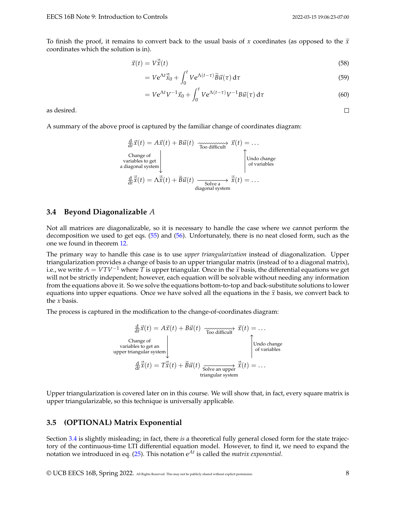$\Box$ 

To finish the proof, it remains to convert back to the usual basis of *x* coordinates (as opposed to the  $\tilde{x}$ coordinates which the solution is in).

$$
\vec{x}(t) = V\vec{\tilde{x}}(t) \tag{58}
$$

$$
= Ve^{\Lambda t}\vec{\tilde{x}}_0 + \int_0^t Ve^{\Lambda(t-\tau)}\widetilde{B}\vec{u}(\tau)\,\mathrm{d}\tau\tag{59}
$$

$$
= Ve^{\Lambda t}V^{-1}\vec{x}_0 + \int_0^t Ve^{\Lambda(t-\tau)}V^{-1}B\vec{u}(\tau)\,d\tau\tag{60}
$$

as desired.

A summary of the above proof is captured by the familiar change of coordinates diagram:

$$
\frac{d}{dt}\vec{x}(t) = A\vec{x}(t) + B\vec{u}(t) \xrightarrow{\text{Two difficult}} \vec{x}(t) = \dots
$$
\nChange of  
\nvariables to get  
\na diagonal system  
\n
$$
\frac{d}{dt}\vec{x}(t) = A\vec{x}(t) + \tilde{B}\vec{u}(t) \xrightarrow{\text{Solve a}} \vec{x}(t) = \dots
$$
\ndiagonal system

#### <span id="page-7-0"></span>**3.4 Beyond Diagonalizable** *A*

Not all matrices are diagonalizable, so it is necessary to handle the case where we cannot perform the decomposition we used to get eqs. [\(55\)](#page-6-3) and [\(56\)](#page-6-4). Unfortunately, there is no neat closed form, such as the one we found in theorem [12.](#page-6-5)

The primary way to handle this case is to use *upper triangularization* instead of diagonalization. Upper triangularization provides a change of basis to an upper triangular matrix (instead of to a diagonal matrix), i.e., we write  $A = VTV^{-1}$  where *T* is upper triangular. Once in the  $\tilde{x}$  basis, the differential equations we get will not be strictly independent; however, each equation will be solvable without needing any information from the equations above it. So we solve the equations bottom-to-top and back-substitute solutions to lower equations into upper equations. Once we have solved all the equations in the  $\tilde{x}$  basis, we convert back to the *x* basis.

The process is captured in the modification to the change-of-coordinates diagram:

$$
\frac{d}{dt}\vec{x}(t) = A\vec{x}(t) + B\vec{u}(t) \xrightarrow{\text{Two different}} \vec{x}(t) = \dots
$$
\nChange of variables to get an upper triangular system\n
$$
\frac{d}{dt}\vec{x}(t) = T\vec{x}(t) + \vec{B}\vec{u}(t) \xrightarrow{\text{Solve an upper}} \vec{x}(t) = \dots
$$
\ntriangle expression

Upper triangularization is covered later on in this course. We will show that, in fact, every square matrix is upper triangularizable, so this technique is universally applicable.

#### **3.5 (OPTIONAL) Matrix Exponential**

Section [3.4](#page-7-0) is slightly misleading; in fact, there *is* a theoretical fully general closed form for the state trajectory of the continuous-time LTI differential equation model. However, to find it, we need to expand the notation we introduced in eq. [\(25\)](#page-4-1). This notation e*At* is called the *matrix exponential*.

© UCB EECS 16B, Spring 2022. All Rights Reserved. This may not be publicly shared without explicit permission. 8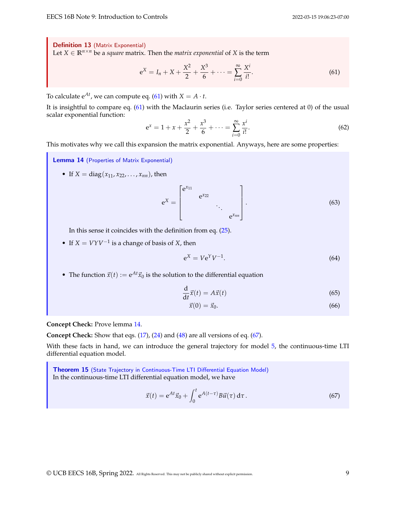Definition 13 (Matrix Exponential) Let *X* ∈  $\mathbb{R}^{n \times n}$  be a *square* matrix. Then the *matrix exponential* of *X* is the term

<span id="page-8-0"></span>
$$
e^X = I_n + X + \frac{X^2}{2} + \frac{X^3}{6} + \dots = \sum_{i=0}^{\infty} \frac{X^i}{i!}.
$$
 (61)

To calculate  $e^{At}$ , we can compute eq. [\(61\)](#page-8-0) with  $X = A \cdot t$ .

It is insightful to compare eq. [\(61\)](#page-8-0) with the Maclaurin series (i.e. Taylor series centered at 0) of the usual scalar exponential function:

$$
e^{x} = 1 + x + \frac{x^{2}}{2} + \frac{x^{3}}{6} + \dots = \sum_{i=0}^{\infty} \frac{x^{i}}{i!}.
$$
 (62)

This motivates why we call this expansion the matrix exponential. Anyways, here are some properties:

<span id="page-8-1"></span>Lemma 14 (Properties of Matrix Exponential)

• If  $X = diag(x_{11}, x_{22}, \ldots, x_{nn})$ , then

$$
e^X = \begin{bmatrix} e^{x_{11}} & & & \\ & e^{x_{22}} & & \\ & & \ddots & \\ & & & e^{x_{nn}} \end{bmatrix} .
$$
 (63)

In this sense it coincides with the definition from eq. [\(25\)](#page-4-1).

• If  $X = VYV^{-1}$  is a change of basis of *X*, then

$$
e^X = V e^Y V^{-1}.
$$
\n<sup>(64)</sup>

• The function  $\vec{x}(t) := e^{At} \vec{x}_0$  is the solution to the differential equation

$$
\frac{\mathrm{d}}{\mathrm{d}t}\vec{x}(t) = A\vec{x}(t) \tag{65}
$$

$$
\vec{x}(0) = \vec{x}_0. \tag{66}
$$

**Concept Check:** Prove lemma [14.](#page-8-1)

**Concept Check:** Show that eqs. [\(17\)](#page-3-5), [\(24\)](#page-4-0) and [\(48\)](#page-6-6) are all versions of eq. [\(67\)](#page-8-2).

With these facts in hand, we can introduce the general trajectory for model [5,](#page-1-3) the continuous-time LTI differential equation model.

Theorem 15 (State Trajectory in [Continuous-Time LTI Differential Equation Model\)](#page-1-3) In the continuous-time LTI differential equation model, we have

<span id="page-8-2"></span>
$$
\vec{x}(t) = e^{At}\vec{x}_0 + \int_0^t e^{A(t-\tau)}B\vec{u}(\tau) d\tau.
$$
\n(67)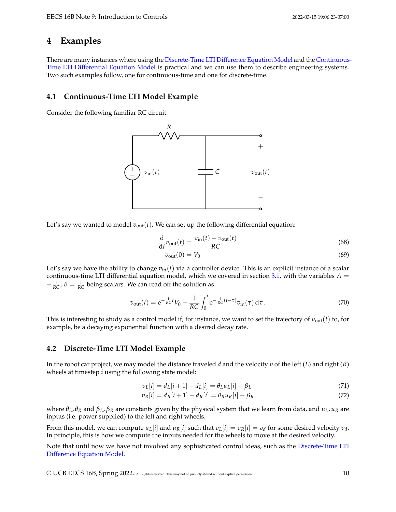## **4 Examples**

There are many instances where using the [Discrete-Time LTI Difference Equation Model](#page-1-0) and the [Continuous-](#page-1-3)[Time LTI Differential Equation Model](#page-1-3) is practical and we can use them to describe engineering systems. Two such examples follow, one for continuous-time and one for discrete-time.

### **4.1 Continuous-Time LTI Model Example**

Consider the following familiar RC circuit:



Let's say we wanted to model  $v_{\text{out}}(t)$ . We can set up the following differential equation:

$$
\frac{d}{dt}v_{\text{out}}(t) = \frac{v_{\text{in}}(t) - v_{\text{out}}(t)}{RC}
$$
\n(68)

$$
v_{\text{out}}(0) = V_0 \tag{69}
$$

Let's say we have the ability to change  $v_{in}(t)$  via a controller device. This is an explicit instance of a scalar continuous-time LTI differential equation model, which we covered in section [3.1,](#page-2-1) with the variables  $A =$  $-\frac{1}{RC}$ ,  $B = \frac{1}{RC}$  being scalars. We can read off the solution as

$$
v_{\text{out}}(t) = e^{-\frac{1}{RC}t}V_0 + \frac{1}{RC} \int_0^t e^{-\frac{1}{RC}(t-\tau)} v_{\text{in}}(\tau) d\tau.
$$
 (70)

This is interesting to study as a control model if, for instance, we want to set the trajectory of  $v_{\text{out}}(t)$  to, for example, be a decaying exponential function with a desired decay rate.

### **4.2 Discrete-Time LTI Model Example**

In the robot car project, we may model the distance traveled *d* and the velocity *v* of the left (*L*) and right (*R*) wheels at timestep *i* using the following state model:

$$
v_L[i] = d_L[i+1] - d_L[i] = \theta_L u_L[i] - \beta_L \tag{71}
$$

$$
v_R[i] = d_R[i+1] - d_R[i] = \theta_R u_R[i] - \beta_R
$$
\n(72)

where  $θ$ *L*,  $θ$ *R* and  $β$ *L*,  $β$ *R* are constants given by the physical system that we learn from data, and  $u$ *L*,  $u$ *R* are inputs (i.e. power supplied) to the left and right wheels.

From this model, we can compute  $u_L[i]$  and  $u_R[i]$  such that  $v_L[i] = v_R[i] = v_d$  for some desired velocity  $v_d$ . In principle, this is how we compute the inputs needed for the wheels to move at the desired velocity.

Note that until now we have not involved any sophisticated control ideas, such as the [Discrete-Time LTI](#page-1-0) [Difference Equation Model.](#page-1-0)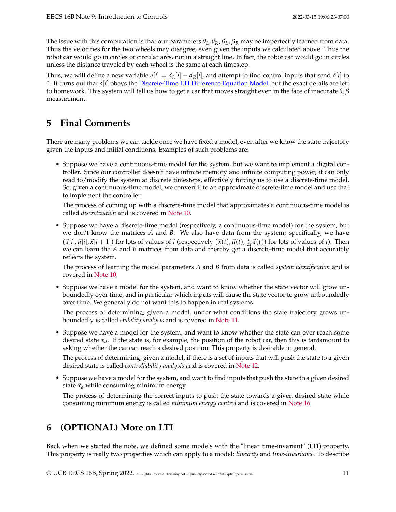The issue with this computation is that our parameters  $\theta_L$ ,  $\theta_R$ ,  $\beta_L$ ,  $\beta_R$  may be imperfectly learned from data. Thus the velocities for the two wheels may disagree, even given the inputs we calculated above. Thus the robot car would go in circles or circular arcs, not in a straight line. In fact, the robot car would go in circles unless the distance traveled by each wheel is the same at each timestep.

Thus, we will define a new variable  $\delta[i] = d_L[i] - d_R[i]$ , and attempt to find control inputs that send  $\delta[i]$  to 0. It turns out that *δ*[*i*] obeys the [Discrete-Time LTI Difference Equation Model,](#page-1-0) but the exact details are left to homework. This system will tell us how to get a car that moves straight even in the face of inacurate *θ*, *β* measurement.

# **5 Final Comments**

There are many problems we can tackle once we have fixed a model, even after we know the state trajectory given the inputs and initial conditions. Examples of such problems are:

• Suppose we have a continuous-time model for the system, but we want to implement a digital controller. Since our controller doesn't have infinite memory and infinite computing power, it can only read to/modify the system at discrete timesteps, effectively forcing us to use a discrete-time model. So, given a continuous-time model, we convert it to an approximate discrete-time model and use that to implement the controller.

The process of coming up with a discrete-time model that approximates a continuous-time model is called *discretization* and is covered in [Note 10.](https://www.eecs16b.org/notes/sp22/note10.pdf)

• Suppose we have a discrete-time model (respectively, a continuous-time model) for the system, but we don't know the matrices *A* and *B*. We also have data from the system; specifically, we have  $(\vec{x}[i], \vec{u}[i], \vec{x}[i+1])$  for lots of values of *i* (respectively  $(\vec{x}(t), \vec{u}(t), \frac{d}{dt}\vec{x}(t))$  for lots of values of *t*). Then we can learn the *A* and *B* matrices from data and thereby get a discrete-time model that accurately reflects the system.

The process of learning the model parameters *A* and *B* from data is called *system identification* and is covered in [Note 10.](https://www.eecs16b.org/notes/sp22/note10.pdf)

• Suppose we have a model for the system, and want to know whether the state vector will grow unboundedly over time, and in particular which inputs will cause the state vector to grow unboundedly over time. We generally do not want this to happen in real systems.

The process of determining, given a model, under what conditions the state trajectory grows unboundedly is called *stability analysis* and is covered in [Note 11.](https://www.eecs16b.org/notes/sp22/note11.pdf)

• Suppose we have a model for the system, and want to know whether the state can ever reach some desired state  $\vec{x}_d$ . If the state is, for example, the position of the robot car, then this is tantamount to asking whether the car can reach a desired position. This property is desirable in general.

The process of determining, given a model, if there is a set of inputs that will push the state to a given desired state is called *controllability analysis* and is covered in [Note 12.](https://www.eecs16b.org/notes/sp22/note12.pdf)

• Suppose we have a model for the system, and want to find inputs that push the state to a given desired state  $\vec{x}_d$  while consuming minimum energy.

The process of determining the correct inputs to push the state towards a given desired state while consuming minimum energy is called *minimum energy control* and is covered in [Note 16.](https://www.eecs16b.org/notes/sp22/note16.pdf)

# <span id="page-10-0"></span>**6 (OPTIONAL) More on LTI**

Back when we started the note, we defined some models with the "linear time-invariant" (LTI) property. This property is really two properties which can apply to a model: *linearity* and *time-invariance*. To describe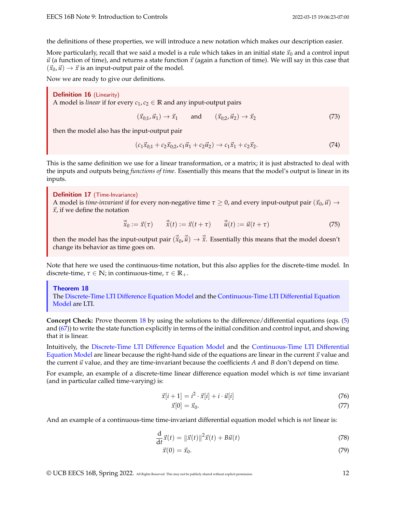the definitions of these properties, we will introduce a new notation which makes our description easier.

More particularly, recall that we said a model is a rule which takes in an initial state  $\vec{x}_0$  and a control input  $\vec{u}$  (a function of time), and returns a state function  $\vec{x}$  (again a function of time). We will say in this case that  $(\vec{x}_0, \vec{u}) \rightarrow \vec{x}$  is an input-output pair of the model.

Now we are ready to give our definitions.

Definition 16 (Linearity) A model is *linear* if for every  $c_1$ ,  $c_2 \in \mathbb{R}$  and any input-output pairs

 $(\vec{x}_{0:1}, \vec{u}_1) \rightarrow \vec{x}_1$  and  $(\vec{x}_{0:2}, \vec{u}_2) \rightarrow \vec{x}_2$  (73)

then the model also has the input-output pair

$$
(c_1\vec{x}_{0,1} + c_2\vec{x}_{0,2}, c_1\vec{u}_1 + c_2\vec{u}_2) \to c_1\vec{x}_1 + c_2\vec{x}_2.
$$
 (74)

This is the same definition we use for a linear transformation, or a matrix; it is just abstracted to deal with the inputs and outputs being *functions of time*. Essentially this means that the model's output is linear in its inputs.

Definition 17 (Time-Invariance)

A model is *time-invariant* if for every non-negative time  $\tau \geq 0$ , and every input-output pair  $(\vec{x}_0, \vec{u}) \to$  $\vec{x}$ , if we define the notation

$$
\vec{\tilde{x}}_0 := \vec{x}(\tau) \qquad \vec{\tilde{x}}(t) := \vec{x}(t + \tau) \qquad \vec{\tilde{u}}(t) := \vec{u}(t + \tau) \tag{75}
$$

then the model has the input-output pair  $(\vec{\tilde{x}}_0, \vec{\tilde{u}}) \to \vec{\tilde{x}}$ . Essentially this means that the model doesn't change its behavior as time goes on.

Note that here we used the continuous-time notation, but this also applies for the discrete-time model. In discrete-time,  $\tau \in \mathbb{N}$ ; in continuous-time,  $\tau \in \mathbb{R}_+$ .

<span id="page-11-0"></span>Theorem 18 The [Discrete-Time LTI Difference Equation Model](#page-1-0) and the [Continuous-Time LTI Differential Equation](#page-1-3) [Model](#page-1-3) are LTI.

**Concept Check:** Prove theorem [18](#page-11-0) by using the solutions to the difference/differential equations (eqs. [\(5\)](#page-2-0) and [\(67\)](#page-8-2)) to write the state function explicitly in terms of the initial condition and control input, and showing that it is linear.

Intuitively, the [Discrete-Time LTI Difference Equation Model](#page-1-0) and the [Continuous-Time LTI Differential](#page-1-3) [Equation Model](#page-1-3) are linear because the right-hand side of the equations are linear in the current  $\vec{x}$  value and the current  $\vec{u}$  value, and they are time-invariant because the coefficients  $A$  and  $B$  don't depend on time.

For example, an example of a discrete-time linear difference equation model which is *not* time invariant (and in particular called time-varying) is:

$$
\vec{x}[i+1] = i^2 \cdot \vec{x}[i] + i \cdot \vec{u}[i] \tag{76}
$$

$$
\vec{x}[0] = \vec{x}_0. \tag{77}
$$

And an example of a continuous-time time-invariant differential equation model which is *not* linear is:

$$
\frac{\mathrm{d}}{\mathrm{d}t}\vec{x}(t) = \|\vec{x}(t)\|^2 \vec{x}(t) + B\vec{u}(t)
$$
\n(78)

$$
\vec{x}(0) = \vec{x}_0. \tag{79}
$$